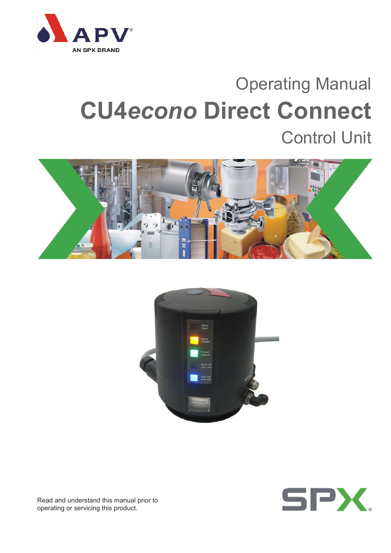

# Operating Manual **CU4***econo* **Direct Connect** Control Unit







Read and understand this manual prior to operating or servicing this product.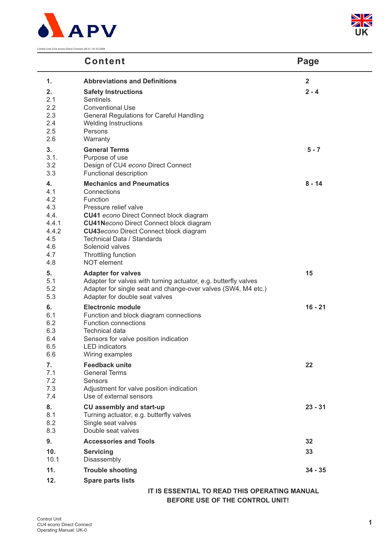



### **Content Page**

| 1.                                                                            | <b>Abbreviations and Definitions</b>                                                                                                                                                                                                                                                                                                           | $\overline{\mathbf{2}}$ |
|-------------------------------------------------------------------------------|------------------------------------------------------------------------------------------------------------------------------------------------------------------------------------------------------------------------------------------------------------------------------------------------------------------------------------------------|-------------------------|
| 2.<br>2.1<br>2.2<br>2.3<br>2.4<br>2.5<br>2.6                                  | <b>Safety Instructions</b><br><b>Sentinels</b><br><b>Conventional Use</b><br>General Regulations for Careful Handling<br><b>Welding Instructions</b><br>Persons<br>Warranty                                                                                                                                                                    | $2 - 4$                 |
| 3.<br>3.1.<br>3.2<br>3.3                                                      | <b>General Terms</b><br>Purpose of use<br>Design of CU4 econo Direct Connect<br>Functional description                                                                                                                                                                                                                                         | $5 - 7$                 |
| 4.<br>4.1<br>4.2<br>4.3<br>4.4.<br>4.4.1<br>4.4.2<br>4.5<br>4.6<br>4.7<br>4.8 | <b>Mechanics and Pneumatics</b><br>Connections<br>Function<br>Pressure relief valve<br><b>CU41</b> econo Direct Connect block diagram<br><b>CU41Necono Direct Connect block diagram</b><br><b>CU43</b> econo Direct Connect block diagram<br><b>Technical Data / Standards</b><br>Solenoid valves<br>Throttling function<br><b>NOT</b> element | $8 - 14$                |
| 5.<br>5.1<br>5.2<br>5.3                                                       | <b>Adapter for valves</b><br>Adapter for valves with turning actuator, e.g. butterfly valves<br>Adapter for single seat and change-over valves (SW4, M4 etc.)<br>Adapter for double seat valves                                                                                                                                                | 15                      |
| 6.<br>6.1<br>6.2<br>6.3<br>6.4<br>6.5<br>6.6                                  | <b>Electronic module</b><br>Function and block diagram connections<br><b>Function connections</b><br><b>Technical data</b><br>Sensors for valve position indication<br><b>LED</b> indicators<br>Wiring examples                                                                                                                                | $16 - 21$               |
| 7.<br>7.1<br>7.2<br>7.3<br>7.4                                                | <b>Feedback unite</b><br><b>General Terms</b><br><b>Sensors</b><br>Adjustment for valve position indication<br>Use of external sensors                                                                                                                                                                                                         | 22                      |
| 8.<br>8.1<br>8.2<br>8.3                                                       | <b>CU assembly and start-up</b><br>Turning actuator, e.g. butterfly valves<br>Single seat valves<br>Double seat valves                                                                                                                                                                                                                         | $23 - 31$               |
| 9.                                                                            | <b>Accessories and Tools</b>                                                                                                                                                                                                                                                                                                                   | 32                      |
| 10.<br>10.1                                                                   | <b>Servicing</b><br>Disassembly                                                                                                                                                                                                                                                                                                                | 33                      |
| 11.                                                                           | <b>Trouble shooting</b>                                                                                                                                                                                                                                                                                                                        | $34 - 35$               |
| 12.                                                                           | <b>Spare parts lists</b>                                                                                                                                                                                                                                                                                                                       |                         |
|                                                                               | IT IS ESSENTIAL TO READ THIS OPERATING MANUAL<br>BEFORE USE OF THE CONTROL UNIT!                                                                                                                                                                                                                                                               |                         |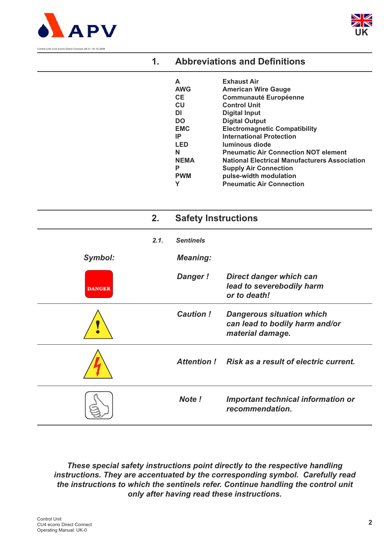



| <b>Abbreviations and Definitions</b><br>. |  |
|-------------------------------------------|--|
|-------------------------------------------|--|

| A           | <b>Exhaust Air</b>                                   |
|-------------|------------------------------------------------------|
| <b>AWG</b>  | <b>American Wire Gauge</b>                           |
| <b>CE</b>   | <b>Communauté Européenne</b>                         |
| <b>CU</b>   | <b>Control Unit</b>                                  |
| DI          | Digital Input                                        |
| <b>DO</b>   | <b>Digital Output</b>                                |
| <b>EMC</b>  | <b>Electromagnetic Compatibility</b>                 |
| IP          | <b>International Protection</b>                      |
| <b>LED</b>  | <b>luminous diode</b>                                |
| N           | <b>Pneumatic Air Connection NOT element</b>          |
| <b>NEMA</b> | <b>National Electrical Manufacturers Association</b> |
| Р           | <b>Supply Air Connection</b>                         |
| <b>PWM</b>  | pulse-width modulation                               |
|             | <b>Pneumatic Air Connection</b>                      |

|               | 2.   | <b>Safety Instructions</b> |                                                                                        |
|---------------|------|----------------------------|----------------------------------------------------------------------------------------|
|               | 2.1. | <b>Sentinels</b>           |                                                                                        |
| Symbol:       |      | <b>Meaning:</b>            |                                                                                        |
| <b>DANGER</b> |      | <b>Danger!</b>             | <b>Direct danger which can</b><br>lead to severebodily harm<br>or to death!            |
|               |      | <b>Caution!</b>            | <b>Dangerous situation which</b><br>can lead to bodily harm and/or<br>material damage. |
|               |      | <b>Attention!</b>          | Risk as a result of electric current.                                                  |
|               |      | Note!                      | <b>Important technical information or</b><br>recommendation.                           |

*These special safety instructions point directly to the respective handling instructions. They are accentuated by the corresponding symbol. Carefully read the instructions to which the sentinels refer. Continue handling the control unit only after having read these instructions.*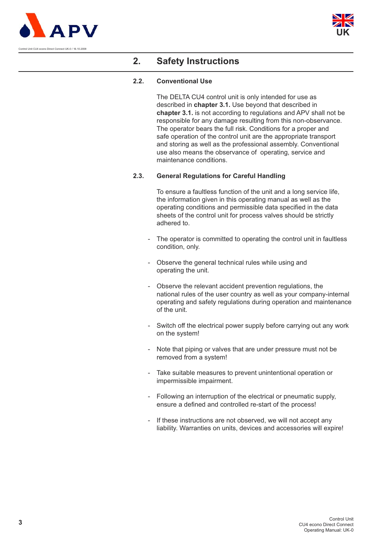



### **2. Safety Instructions**

#### **2.2. Conventional Use**

The DELTA CU4 control unit is only intended for use as described in **chapter 3.1.** Use beyond that described in **chapter 3.1.** is not according to regulations and APV shall not be responsible for any damage resulting from this non-observance. The operator bears the full risk. Conditions for a proper and safe operation of the control unit are the appropriate transport and storing as well as the professional assembly. Conventional use also means the observance of operating, service and maintenance conditions.

#### **2.3. General Regulations for Careful Handling**

To ensure a faultless function of the unit and a long service life, the information given in this operating manual as well as the operating conditions and permissible data specified in the data sheets of the control unit for process valves should be strictly adhered to.

- The operator is committed to operating the control unit in faultless condition, only.
- Observe the general technical rules while using and operating the unit.
- Observe the relevant accident prevention regulations, the national rules of the user country as well as your company-internal operating and safety regulations during operation and maintenance of the unit.
- Switch off the electrical power supply before carrying out any work on the system!
- Note that piping or valves that are under pressure must not be removed from a system!
- Take suitable measures to prevent unintentional operation or impermissible impairment.
- Following an interruption of the electrical or pneumatic supply, ensure a defined and controlled re-start of the process!
- If these instructions are not observed, we will not accept any liability. Warranties on units, devices and accessories will expire!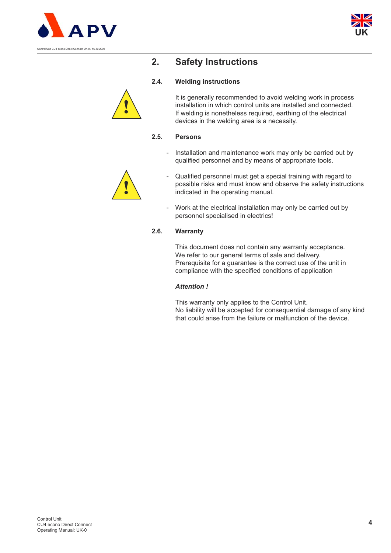



# **2. Safety Instructions**

#### **2.4. Welding instructions**



It is generally recommended to avoid welding work in process installation in which control units are installed and connected. If welding is nonetheless required, earthing of the electrical devices in the welding area is a necessity.

#### **2.5. Persons**

- Installation and maintenance work may only be carried out by qualified personnel and by means of appropriate tools.



- Qualified personnel must get a special training with regard to possible risks and must know and observe the safety instructions indicated in the operating manual.
- Work at the electrical installation may only be carried out by personnel specialised in electrics!

#### **2.6. Warranty**

This document does not contain any warranty acceptance. We refer to our general terms of sale and delivery. Prerequisite for a guarantee is the correct use of the unit in compliance with the specified conditions of application

#### *Attention !*

This warranty only applies to the Control Unit. No liability will be accepted for consequential damage of any kind that could arise from the failure or malfunction of the device.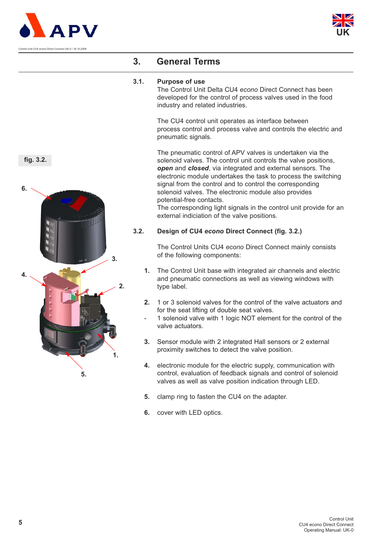



### **3. General Terms**

#### **3.1. Purpose of use**

The Control Unit Delta CU4 *econo* Direct Connect has been developed for the control of process valves used in the food industry and related industries.

The CU4 control unit operates as interface between process control and process valve and controls the electric and pneumatic signals.

The pneumatic control of APV valves is undertaken via the solenoid valves. The control unit controls the valve positions, *open* and *closed*, via integrated and external sensors. The electronic module undertakes the task to process the switching signal from the control and to control the corresponding solenoid valves. The electronic module also provides potential-free contacts.

The corresponding light signals in the control unit provide for an external indiciation of the valve positions.

#### **3.2. Design of CU4** *econo* **Direct Connect (fig. 3.2.)**

The Control Units CU4 *econo* Direct Connect mainly consists of the following components:

- **1.** The Control Unit base with integrated air channels and electric and pneumatic connections as well as viewing windows with type label.
- **2.** 1 or 3 solenoid valves for the control of the valve actuators and for the seat lifting of double seat valves.
- 1 solenoid valve with 1 logic NOT element for the control of the valve actuators.
- **3.** Sensor module with 2 integrated Hall sensors or 2 external proximity switches to detect the valve position.
- **4.** electronic module for the electric supply, communication with control, evaluation of feedback signals and control of solenoid valves as well as valve position indication through LED.
- **5.** clamp ring to fasten the CU4 on the adapter.
- **6.** cover with LED optics.



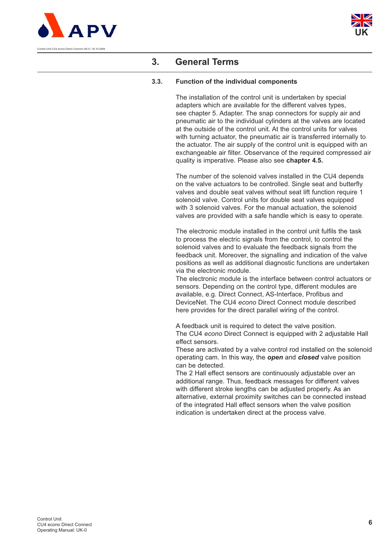



# **3. General Terms**

### **3.3. Function of the individual components**

The installation of the control unit is undertaken by special adapters which are available for the different valves types, see chapter 5. Adapter. The snap connectors for supply air and pneumatic air to the individual cylinders at the valves are located at the outside of the control unit. At the control units for valves with turning actuator, the pneumatic air is transferred internally to the actuator. The air supply of the control unit is equipped with an exchangeable air filter. Observance of the required compressed air quality is imperative. Please also see **chapter 4.5.**

The number of the solenoid valves installed in the CU4 depends on the valve actuators to be controlled. Single seat and butterfly valves and double seat valves without seat lift function require 1 solenoid valve. Control units for double seat valves equipped with 3 solenoid valves. For the manual actuation, the solenoid valves are provided with a safe handle which is easy to operate.

The electronic module installed in the control unit fulfils the task to process the electric signals from the control, to control the solenoid valves and to evaluate the feedback signals from the feedback unit. Moreover, the signalling and indication of the valve positions as well as additional diagnostic functions are undertaken via the electronic module.

The electronic module is the interface between control actuators or sensors. Depending on the control type, different modules are available, e.g. Direct Connect, AS-Interface, Profibus and DeviceNet. The CU4 *econo* Direct Connect module described here provides for the direct parallel wiring of the control.

A feedback unit is required to detect the valve position. The CU4 *econo* Direct Connect is equipped with 2 adjustable Hall effect sensors.

These are activated by a valve control rod installed on the solenoid operating cam. In this way, the *open* and *closed* valve position can be detected.

The 2 Hall effect sensors are continuously adjustable over an additional range. Thus, feedback messages for different valves with different stroke lengths can be adjusted properly. As an alternative, external proximity switches can be connected instead of the integrated Hall effect sensors when the valve position indication is undertaken direct at the process valve.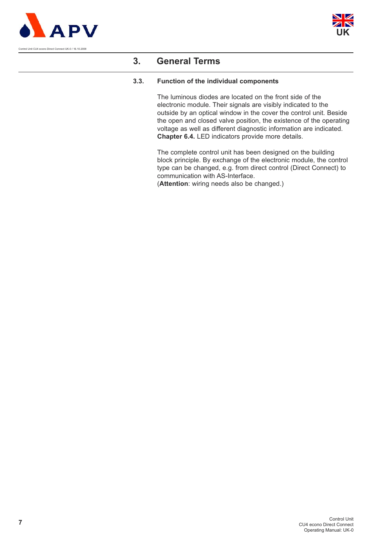



### **3. General Terms**

#### **3.3. Function of the individual components**

The luminous diodes are located on the front side of the electronic module. Their signals are visibly indicated to the outside by an optical window in the cover the control unit. Beside the open and closed valve position, the existence of the operating voltage as well as different diagnostic information are indicated. **Chapter 6.4.** LED indicators provide more details.

The complete control unit has been designed on the building block principle. By exchange of the electronic module, the control type can be changed, e.g. from direct control (Direct Connect) to communication with AS-Interface.

(**Attention**: wiring needs also be changed.)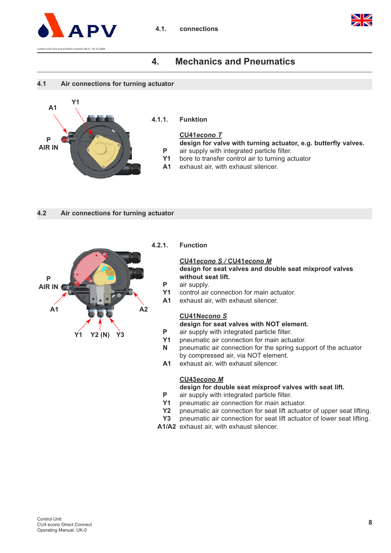

#### **4.1. connections**



### **4. Mechanics and Pneumatics**





**4.1.1. Funktion**

#### **CU41***econo T*

**design for valve with turning actuator, e.g. butterfly valves. P** air supply with integrated particle filter.

- **Y1** bore to transfer control air to turning actuator
- **A1** exhaust air, with exhaust silencer.
- **4.2 Air connections for turning actuator**



#### **4.2.1. Function**

#### **CU41***econo S /* **CU41***econo M*

**design for seat valves and double seat mixproof valves without seat lift.** 

- **P** air supply.
- **Y1** control air connection for main actuator.
- **A1** exhaust air, with exhaust silencer.

#### **CU41N***econo S*

**design for seat valves with NOT element.**

- **P** air supply with integrated particle filter.
- **Y1** pneumatic air connection for main actuator.
- **N** pneumatic air connection for the spring support of the actuator by compressed air, via NOT element.
- **A1** exhaust air, with exhaust silencer.

#### **CU43***econo M*

#### **design for double seat mixproof valves with seat lift.**

- **P** air supply with integrated particle filter.
- **Y1** pneumatic air connection for main actuator.
- **Y2** pneumatic air connection for seat lift actuator of upper seat lifting.
- **Y3** pneumatic air connection for seat lift actuator of lower seat lifting.
- **A1/A2** exhaust air, with exhaust silencer.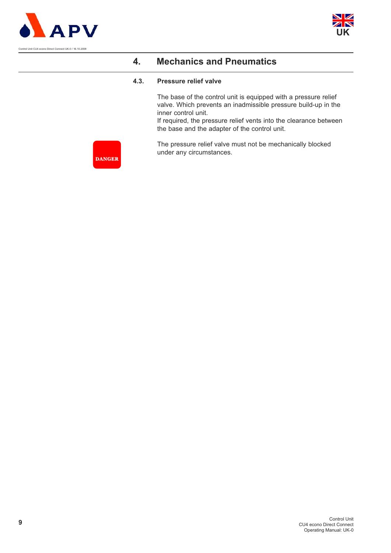



#### **4.3. Pressure relief valve**

The base of the control unit is equipped with a pressure relief valve. Which prevents an inadmissible pressure build-up in the inner control unit.

If required, the pressure relief vents into the clearance between the base and the adapter of the control unit.

The pressure relief valve must not be mechanically blocked under any circumstances.

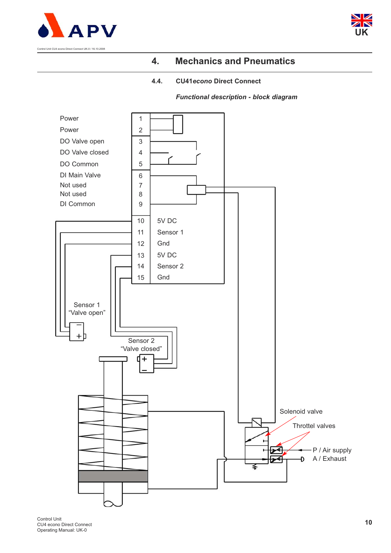



### **4.4. CU41***econo* **Direct Connect**

*Functional description - block diagram*



Control Unit CU4 econo Direct Connect Operating Manual: UK-0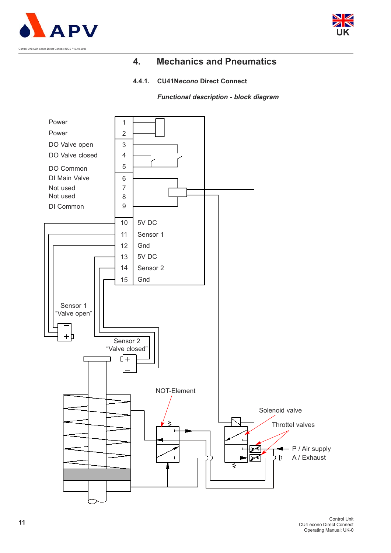



#### **4.4.1. CU41N***econo* **Direct Connect**

*Functional description - block diagram*

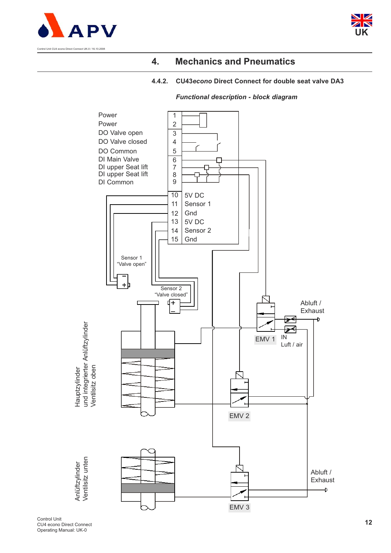



### **4.4.2. CU43***econo* **Direct Connect for double seat valve DA3**



### *Functional description - block diagram*

Control Unit CU4 econo Direct Connect Operating Manual: UK-0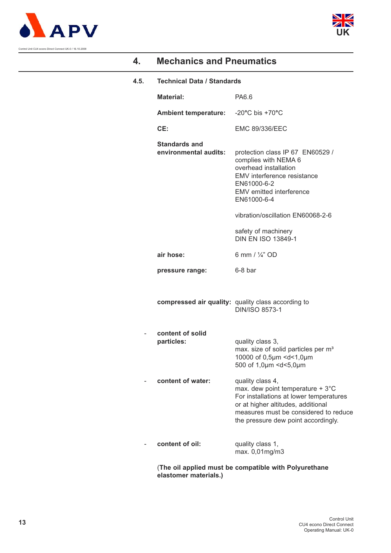



### **4.5. Technical Data / Standards**

| <b>Material:</b>                                   | PA6.6                                                                                                                                                                                                                          |
|----------------------------------------------------|--------------------------------------------------------------------------------------------------------------------------------------------------------------------------------------------------------------------------------|
| <b>Ambient temperature:</b>                        | $-20^{\circ}$ C bis $+70^{\circ}$ C                                                                                                                                                                                            |
| CE:                                                | <b>EMC 89/336/EEC</b>                                                                                                                                                                                                          |
| <b>Standards and</b><br>environmental audits:      | protection class IP 67 EN60529 /<br>complies with NEMA 6<br>overhead installation<br>EMV interference resistance<br>EN61000-6-2<br>EMV emitted interference<br>EN61000-6-4                                                     |
|                                                    | vibration/oscillation EN60068-2-6                                                                                                                                                                                              |
|                                                    | safety of machinery<br><b>DIN EN ISO 13849-1</b>                                                                                                                                                                               |
| air hose:                                          | 6 mm / $\frac{1}{4}$ " OD                                                                                                                                                                                                      |
| pressure range:                                    | 6-8 bar                                                                                                                                                                                                                        |
| compressed air quality: quality class according to | <b>DIN/ISO 8573-1</b>                                                                                                                                                                                                          |
| content of solid<br>particles:                     | quality class 3,<br>max. size of solid particles per m <sup>3</sup><br>10000 of 0,5µm <d<1,0µm<br>500 of 1,0µm <d<5,0µm< th=""></d<5,0µm<></d<1,0µm<br>                                                                        |
| content of water:                                  | quality class 4,<br>max. dew point temperature $+3^{\circ}$ C<br>For installations at lower temperatures<br>or at higher altitudes, additional<br>measures must be considered to reduce<br>the pressure dew point accordingly. |
|                                                    | quality class 1,                                                                                                                                                                                                               |
| content of oil:                                    | max. 0,01mg/m3                                                                                                                                                                                                                 |

(**The oil applied must be compatible with Polyurethane elastomer materials.)**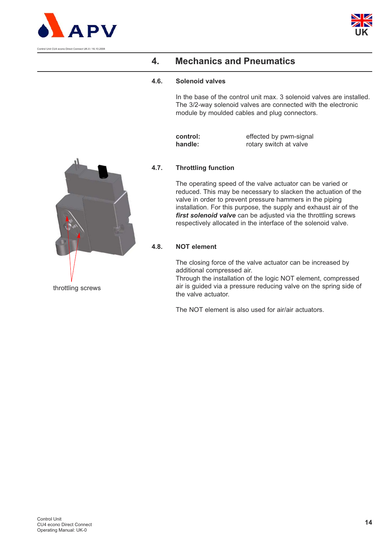



#### **4.6. Solenoid valves**

In the base of the control unit max. 3 solenoid valves are installed. The 3/2-way solenoid valves are connected with the electronic module by moulded cables and plug connectors.

| control: | effected by pwm-signal |
|----------|------------------------|
| handle:  | rotary switch at valve |



The operating speed of the valve actuator can be varied or reduced. This may be necessary to slacken the actuation of the valve in order to prevent pressure hammers in the piping installation. For this purpose, the supply and exhaust air of the *first solenoid valve* can be adjusted via the throttling screws respectively allocated in the interface of the solenoid valve.

### **4.8. NOT element**

The closing force of the valve actuator can be increased by additional compressed air.

Through the installation of the logic NOT element, compressed air is guided via a pressure reducing valve on the spring side of the valve actuator.

The NOT element is also used for air/air actuators.

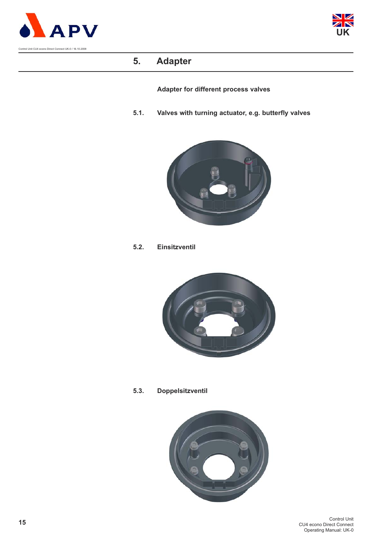



# **5. Adapter**

**Adapter for different process valves**

**5.1. Valves with turning actuator, e.g. butterfly valves**



**5.2. Einsitzventil**



**5.3. Doppelsitzventil**

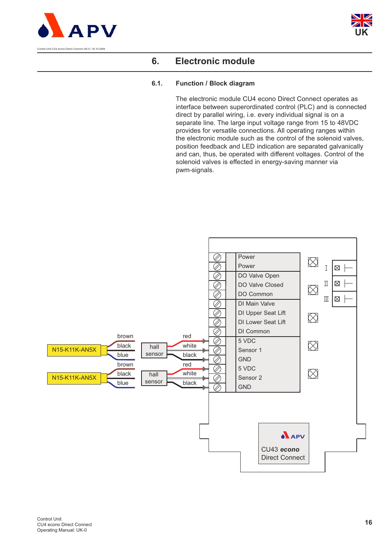



### **6.1. Function / Block diagram**

The electronic module CU4 econo Direct Connect operates as interface between superordinated control (PLC) and is connected direct by parallel wiring, i.e. every individual signal is on a separate line. The large input voltage range from 15 to 48VDC provides for versatile connections. All operating ranges within the electronic module such as the control of the solenoid valves, position feedback and LED indication are separated galvanically and can, thus, be operated with different voltages. Control of the solenoid valves is effected in energy-saving manner via pwm-signals.

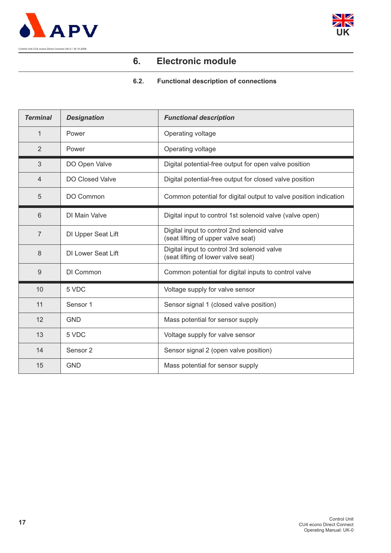



### **6.2. Functional description of connections**

| <b>Terminal</b> | <b>Designation</b>        | <b>Functional description</b>                                                     |
|-----------------|---------------------------|-----------------------------------------------------------------------------------|
| 1               | Power                     | Operating voltage                                                                 |
| 2               | Power                     | Operating voltage                                                                 |
| 3               | DO Open Valve             | Digital potential-free output for open valve position                             |
| $\overline{4}$  | <b>DO Closed Valve</b>    | Digital potential-free output for closed valve position                           |
| 5               | DO Common                 | Common potential for digital output to valve position indication                  |
| 6               | DI Main Valve             | Digital input to control 1st solenoid valve (valve open)                          |
| $\overline{7}$  | DI Upper Seat Lift        | Digital input to control 2nd solenoid valve<br>(seat lifting of upper valve seat) |
| 8               | <b>DI Lower Seat Lift</b> | Digital input to control 3rd solenoid valve<br>(seat lifting of lower valve seat) |
| 9               | DI Common                 | Common potential for digital inputs to control valve                              |
| 10              | 5 VDC                     | Voltage supply for valve sensor                                                   |
| 11              | Sensor 1                  | Sensor signal 1 (closed valve position)                                           |
| 12              | <b>GND</b>                | Mass potential for sensor supply                                                  |
| 13              | 5 VDC                     | Voltage supply for valve sensor                                                   |
| 14              | Sensor <sub>2</sub>       | Sensor signal 2 (open valve position)                                             |
| 15              | <b>GND</b>                | Mass potential for sensor supply                                                  |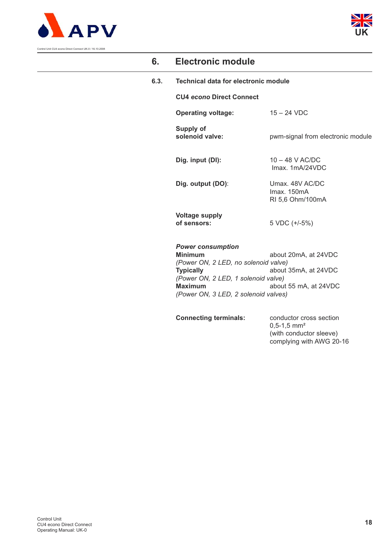



**6.3. Technical data for electronic module** 

**CU4** *econo* **Direct Connect**

**Operating voltage:** 15 – 24 VDC

**Supply of** 

solenoid valve: pwm-signal from electronic module

**Dig. input (DI):** 10 – 48 V AC/DC

Imax. 1mA/24VDC **Dig. output (DO)**: Umax. 48V AC/DC

> Imax. 150mA RI 5,6 Ohm/100mA

**Voltage supply of sensors:** 5 VDC (+/-5%)

*Power consumption* 

**Minimum** about 20mA, at 24VDC *(Power ON, 2 LED, no solenoid valve)* **Typically** about 35mA, at 24VDC *(Power ON, 2 LED, 1 solenoid valve)* **Maximum** about 55 mA, at 24VDC *(Power ON, 3 LED, 2 solenoid valves)*

**Connecting terminals:** conductor cross section

0,5-1,5 mm² (with conductor sleeve) complying with AWG 20-16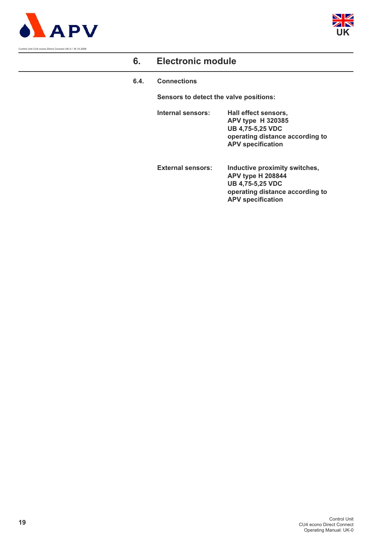



**6.4. Connections**

**Sensors to detect the valve positions:**

- **Internal sensors: Hall effect sensors, APV type H 320385 UB 4,75-5,25 VDC operating distance according to APV specification**
- **External sensors: Inductive proximity switches, APV type H 208844 UB 4,75-5,25 VDC operating distance according to APV specification**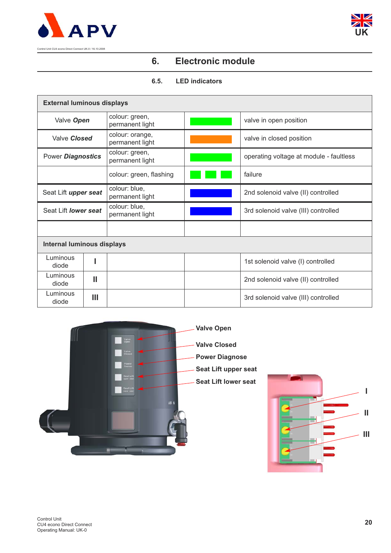



### **6.5. LED indicators**

| <b>External luminous displays</b> |   |                                    |                                         |
|-----------------------------------|---|------------------------------------|-----------------------------------------|
| Valve Open                        |   | colour: green,<br>permanent light  | valve in open position                  |
| Valve Closed                      |   | colour: orange,<br>permanent light | valve in closed position                |
| Power Diagnostics                 |   | colour: green,<br>permanent light  | operating voltage at module - faultless |
|                                   |   | colour: green, flashing            | failure                                 |
| Seat Lift upper seat              |   | colour: blue,<br>permanent light   | 2nd solenoid valve (II) controlled      |
| Seat Lift lower seat              |   | colour: blue,<br>permanent light   | 3rd solenoid valve (III) controlled     |
|                                   |   |                                    |                                         |
| <b>Internal luminous displays</b> |   |                                    |                                         |
| Luminous<br>diode                 |   |                                    | 1st solenoid valve (I) controlled       |
| Luminous<br>diode                 | Ш |                                    | 2nd solenoid valve (II) controlled      |
| Luminous<br>diode                 | Ш |                                    | 3rd solenoid valve (III) controlled     |

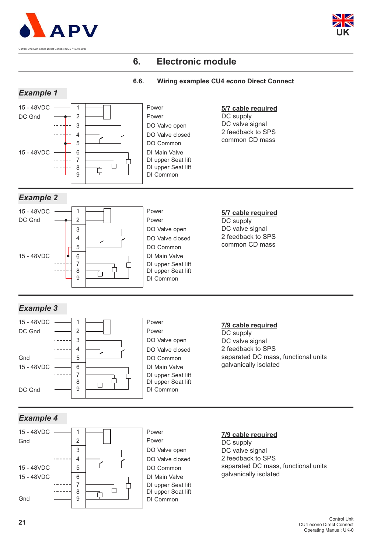



#### **6.6. Wiring examples CU4** *econo* **Direct Connect**



DI Common

Gnd

9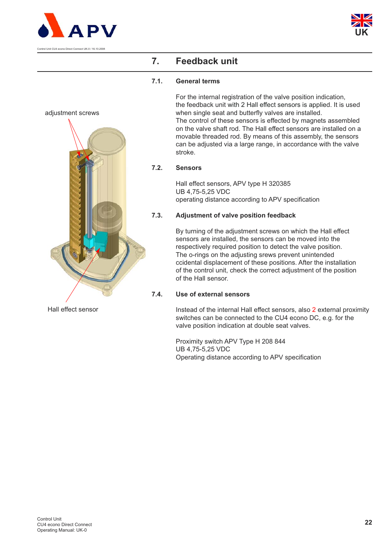

adjustment screws



# **7. Feedback unit**

### **7.1. General terms**

For the internal registration of the valve position indication, the feedback unit with 2 Hall effect sensors is applied. It is used when single seat and butterfly valves are installed. The control of these sensors is effected by magnets assembled on the valve shaft rod. The Hall effect sensors are installed on a movable threaded rod. By means of this assembly, the sensors can be adjusted via a large range, in accordance with the valve stroke.

### **7.2. Sensors**

Hall effect sensors, APV type H 320385 UB 4,75-5,25 VDC operating distance according to APV specification

### **7.3. Adjustment of valve position feedback**

By turning of the adjustment screws on which the Hall effect sensors are installed, the sensors can be moved into the respectively required position to detect the valve position. The o-rings on the adjusting srews prevent unintended ccidental displacement of these positions. After the installation of the control unit, check the correct adjustment of the position of the Hall sensor.

### **7.4. Use of external sensors**

Instead of the internal Hall effect sensors, also 2 external proximity switches can be connected to the CU4 econo DC, e.g. for the valve position indication at double seat valves.

Proximity switch APV Type H 208 844 UB 4,75-5,25 VDC Operating distance according to APV specification

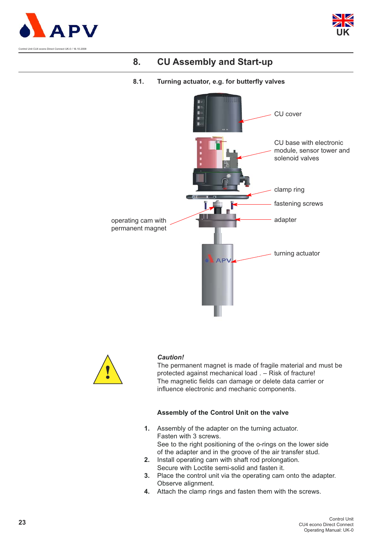





AP

#### **8.1. Turning actuator, e.g. for butterfly valves**



#### *Caution!*

The permanent magnet is made of fragile material and must be protected against mechanical load . – Risk of fracture! The magnetic fields can damage or delete data carrier or influence electronic and mechanic components.

#### **Assembly of the Control Unit on the valve**

- **1.** Assembly of the adapter on the turning actuator. Fasten with 3 screws. See to the right positioning of the o-rings on the lower side of the adapter and in the groove of the air transfer stud.
- **2.** Install operating cam with shaft rod prolongation. Secure with Loctite semi-solid and fasten it.
- **3.** Place the control unit via the operating cam onto the adapter. Observe alignment.
- **4.** Attach the clamp rings and fasten them with the screws.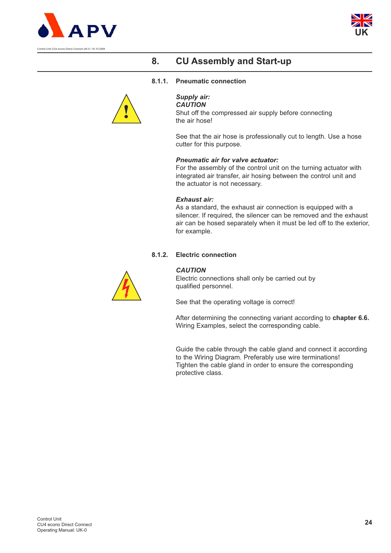



#### **8.1.1. Pneumatic connection**



*Supply air:*

*CAUTION*  Shut off the compressed air supply before connecting the air hose!

See that the air hose is professionally cut to length. Use a hose cutter for this purpose.

#### *Pneumatic air for valve actuator:*

For the assembly of the control unit on the turning actuator with integrated air transfer, air hosing between the control unit and the actuator is not necessary.

#### *Exhaust air:*

As a standard, the exhaust air connection is equipped with a silencer. If required, the silencer can be removed and the exhaust air can be hosed separately when it must be led off to the exterior, for example.

#### **8.1.2. Electric connection**



#### *CAUTION*

Electric connections shall only be carried out by qualified personnel.

See that the operating voltage is correct!

After determining the connecting variant according to **chapter 6.6.** Wiring Examples, select the corresponding cable.

Guide the cable through the cable gland and connect it according to the Wiring Diagram. Preferably use wire terminations! Tighten the cable gland in order to ensure the corresponding protective class.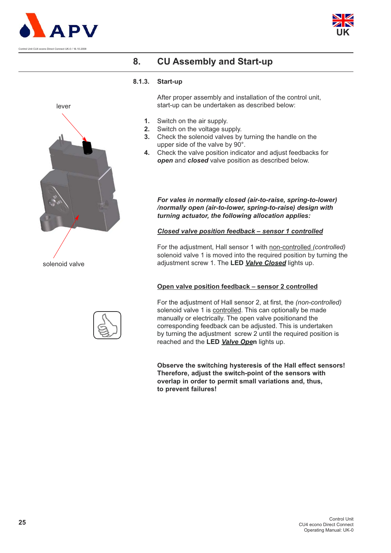





#### **8.1.3. Start-up**

After proper assembly and installation of the control unit, start-up can be undertaken as described below:

- **1.** Switch on the air supply.
- **2.** Switch on the voltage supply.
- **3.** Check the solenoid valves by turning the handle on the upper side of the valve by 90°.
- **4.** Check the valve position indicator and adjust feedbacks for *open* and *closed* valve position as described below.

#### *For vales in normally closed (air-to-raise, spring-to-lower) /normally open (air-to-lower, spring-to-raise) design with turning actuator, the following allocation applies:*

#### *Closed valve position feedback – sensor 1 controlled*

For the adjustment, Hall sensor 1 with non-controlled *(controlled)* solenoid valve 1 is moved into the required position by turning the adjustment screw 1. The **LED** *Valve Closed* lights up.

### **Open valve position feedback – sensor 2 controlled**

For the adjustment of Hall sensor 2, at first, the *(non-controlled)* solenoid valve 1 is controlled. This can optionally be made manually or electrically. The open valve positionand the corresponding feedback can be adjusted. This is undertaken by turning the adjustment screw 2 until the required position is reached and the **LED** *Valve Ope***n** lights up.

**Observe the switching hysteresis of the Hall effect sensors! Therefore, adjust the switch-point of the sensors with overlap in order to permit small variations and, thus, to prevent failures!**

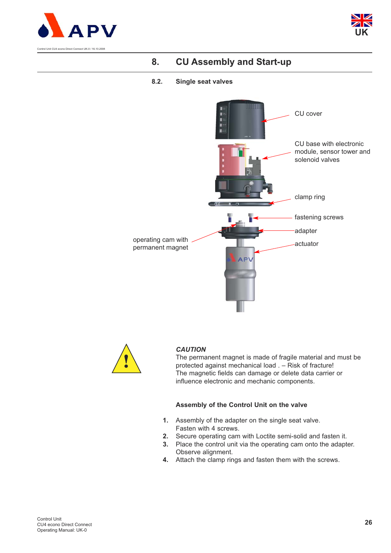



### **8.2. Single seat valves**





### *CAUTION*

The permanent magnet is made of fragile material and must be protected against mechanical load . – Risk of fracture! The magnetic fields can damage or delete data carrier or influence electronic and mechanic components.

#### **Assembly of the Control Unit on the valve**

- **1.** Assembly of the adapter on the single seat valve. Fasten with 4 screws.
- **2.** Secure operating cam with Loctite semi-solid and fasten it.
- **3.** Place the control unit via the operating cam onto the adapter. Observe alignment.
- **4.** Attach the clamp rings and fasten them with the screws.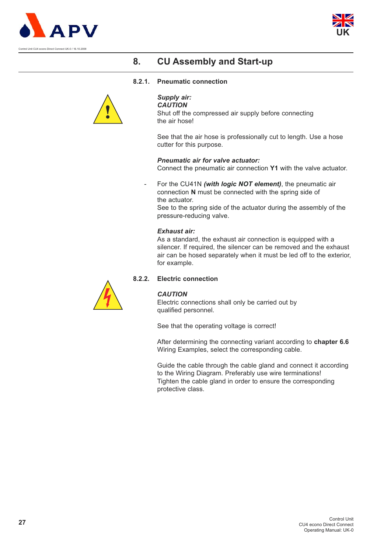



#### **8.2.1. Pneumatic connection**



#### *Supply air: CAUTION*

Shut off the compressed air supply before connecting the air hose!

See that the air hose is professionally cut to length. Use a hose cutter for this purpose.

*Pneumatic air for valve actuator:*

Connect the pneumatic air connection **Y1** with the valve actuator.

- For the CU41N *(with logic NOT element)*, the pneumatic air connection **N** must be connected with the spring side of the actuator. See to the spring side of the actuator during the assembly of the pressure-reducing valve.

#### *Exhaust air:*

As a standard, the exhaust air connection is equipped with a silencer. If required, the silencer can be removed and the exhaust air can be hosed separately when it must be led off to the exterior, for example.

### **8.2.2. Electric connection**



#### *CAUTION*

Electric connections shall only be carried out by qualified personnel.

See that the operating voltage is correct!

After determining the connecting variant according to **chapter 6.6**  Wiring Examples, select the corresponding cable.

Guide the cable through the cable gland and connect it according to the Wiring Diagram. Preferably use wire terminations! Tighten the cable gland in order to ensure the corresponding protective class.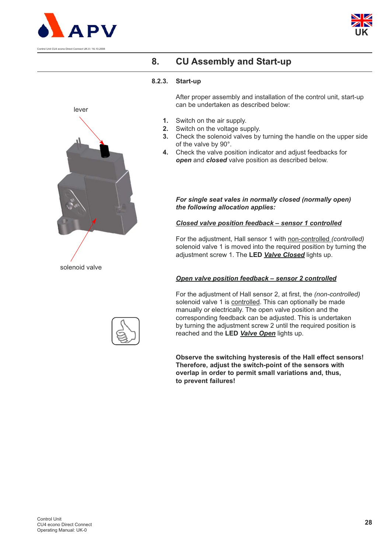





#### **8.2.3. Start-up**

After proper assembly and installation of the control unit, start-up can be undertaken as described below:

- **1.** Switch on the air supply.
- **2.** Switch on the voltage supply.
- **3.** Check the solenoid valves by turning the handle on the upper side of the valve by 90°.
- **4.** Check the valve position indicator and adjust feedbacks for *open* and *closed* valve position as described below.

*For single seat vales in normally closed (normally open) the following allocation applies:*

#### *Closed valve position feedback – sensor 1 controlled*

For the adjustment, Hall sensor 1 with non-controlled *(controlled)* solenoid valve 1 is moved into the required position by turning the adjustment screw 1. The **LED** *Valve Closed* lights up.

#### *Open valve position feedback – sensor 2 controlled*

For the adjustment of Hall sensor 2, at first, the *(non-controlled)* solenoid valve 1 is controlled. This can optionally be made manually or electrically. The open valve position and the corresponding feedback can be adjusted. This is undertaken by turning the adjustment screw 2 until the required position is reached and the **LED** *Valve Open* lights up.

**Observe the switching hysteresis of the Hall effect sensors! Therefore, adjust the switch-point of the sensors with overlap in order to permit small variations and, thus, to prevent failures!**

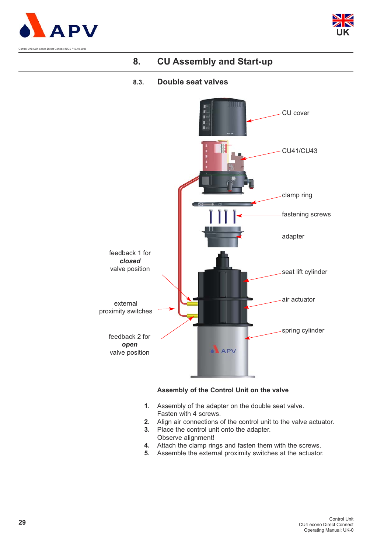



### **8.3. Double seat valves**



#### **Assembly of the Control Unit on the valve**

- **1.** Assembly of the adapter on the double seat valve. Fasten with 4 screws.
- **2.** Align air connections of the control unit to the valve actuator.
- **3.** Place the control unit onto the adapter. Observe alignment!
- **4.** Attach the clamp rings and fasten them with the screws.
- **5.** Assemble the external proximity switches at the actuator.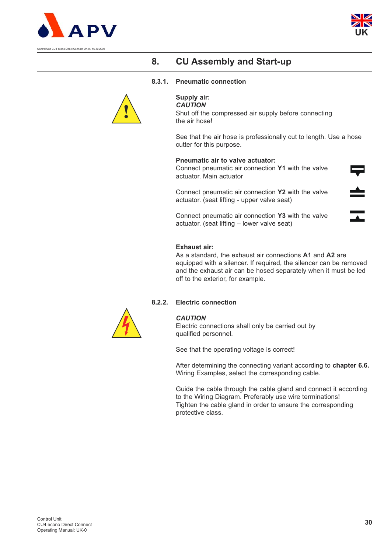



#### **8.3.1. Pneumatic connection**



### **Supply air:**

*CAUTION*  Shut off the compressed air supply before connecting the air hose!

See that the air hose is professionally cut to length. Use a hose cutter for this purpose.

#### **Pneumatic air to valve actuator:**

Connect pneumatic air connection **Y1** with the valve actuator. Main actuator

Connect pneumatic air connection **Y2** with the valve actuator. (seat lifting - upper valve seat)

Connect pneumatic air connection **Y3** with the valve actuator. (seat lifting – lower valve seat)

#### **Exhaust air:**

As a standard, the exhaust air connections **A1** and **A2** are equipped with a silencer. If required, the silencer can be removed and the exhaust air can be hosed separately when it must be led off to the exterior, for example.

#### **8.2.2. Electric connection**



#### *CAUTION*

Electric connections shall only be carried out by qualified personnel.

See that the operating voltage is correct!

After determining the connecting variant according to **chapter 6.6.** Wiring Examples, select the corresponding cable.

Guide the cable through the cable gland and connect it according to the Wiring Diagram. Preferably use wire terminations! Tighten the cable gland in order to ensure the corresponding protective class.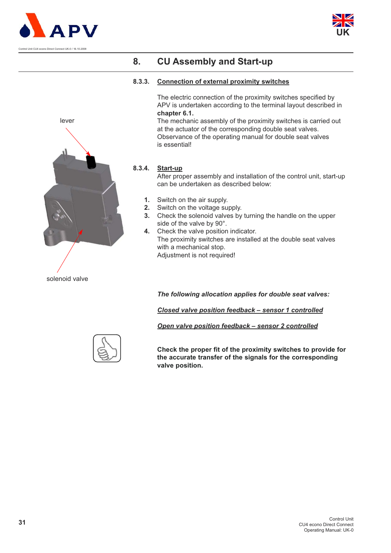





#### **8.3.3. Connection of external proximity switches**

The electric connection of the proximity switches specified by APV is undertaken according to the terminal layout described in **chapter 6.1.**

The mechanic assembly of the proximity switches is carried out at the actuator of the corresponding double seat valves. Observance of the operating manual for double seat valves is essential!

#### **8.3.4. Start-up**

After proper assembly and installation of the control unit, start-up can be undertaken as described below:

- **1.** Switch on the air supply.
- **2.** Switch on the voltage supply.
- **3.** Check the solenoid valves by turning the handle on the upper side of the valve by 90°.
- **4.** Check the valve position indicator. The proximity switches are installed at the double seat valves with a mechanical stop. Adjustment is not required!

*The following allocation applies for double seat valves:*

*Closed valve position feedback – sensor 1 controlled*

*Open valve position feedback – sensor 2 controlled*

**Check the proper fit of the proximity switches to provide for the accurate transfer of the signals for the corresponding valve position.**



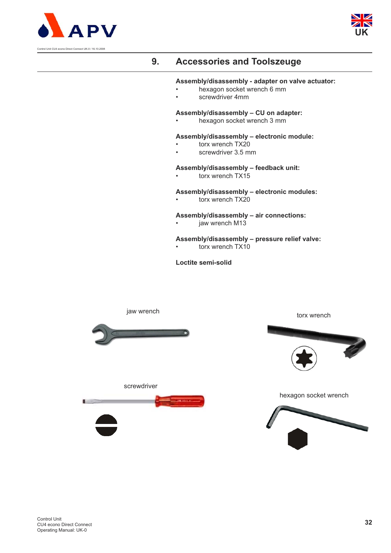



# **9. Accessories and Toolszeuge**

#### **Assembly/disassembly - adapter on valve actuator:**

- hexagon socket wrench 6 mm
- screwdriver 4mm

#### **Assembly/disassembly – CU on adapter:**

• hexagon socket wrench 3 mm

#### **Assembly/disassembly – electronic module:**

- torx wrench TX20
- screwdriver 3.5 mm

#### **Assembly/disassembly – feedback unit:**

torx wrench TX15

#### **Assembly/disassembly – electronic modules:**

torx wrench TX20

#### **Assembly/disassembly – air connections:**

jaw wrench M13

#### **Assembly/disassembly – pressure relief valve:**

torx wrench TX10

**Loctite semi-solid**

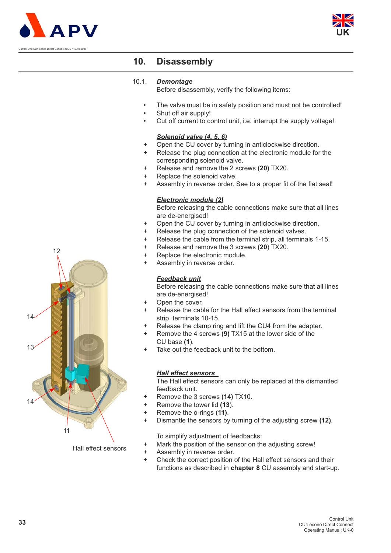



### **10. Disassembly**

#### 10.1. *Demontage*

Before disassembly, verify the following items:

- The valve must be in safety position and must not be controlled!
- Shut off air supply!
- Cut off current to control unit, i.e. interrupt the supply voltage!

#### *Solenoid valve (4, 5, 6)*

- + Open the CU cover by turning in anticlockwise direction.
- + Release the plug connection at the electronic module for the corresponding solenoid valve.
- + Release and remove the 2 screws **(20)** TX20.
- + Replace the solenoid valve.
- + Assembly in reverse order. See to a proper fit of the flat seal!

#### *Electronic module (2)*

Before releasing the cable connections make sure that all lines are de-energised!

- + Open the CU cover by turning in anticlockwise direction.
- + Release the plug connection of the solenoid valves.
- + Release the cable from the terminal strip, all terminals 1-15.
- + Release and remove the 3 screws **(20**) TX20.
- + Replace the electronic module.
- + Assembly in reverse order.

#### *Feedback unit*

Before releasing the cable connections make sure that all lines are de-energised!

- + Open the cover.
- + Release the cable for the Hall effect sensors from the terminal strip, terminals 10-15.
- Release the clamp ring and lift the CU4 from the adapter.
- Remove the 4 screws (9) TX15 at the lower side of the CU base **(1**).
- Take out the feedback unit to the bottom.

#### *Hall effect sensors*

The Hall effect sensors can only be replaced at the dismantled feedback unit.

- + Remove the 3 screws **(14)** TX10.
- + Remove the tower lid **(13**).
- + Remove the o-rings **(11)**.
- + Dismantle the sensors by turning of the adjusting screw **(12)**.

To simplify adjustment of feedbacks:

- + Mark the position of the sensor on the adjusting screw!
- + Assembly in reverse order.
- + Check the correct position of the Hall effect sensors and their functions as described in **chapter 8** CU assembly and start-up.



Hall effect sensors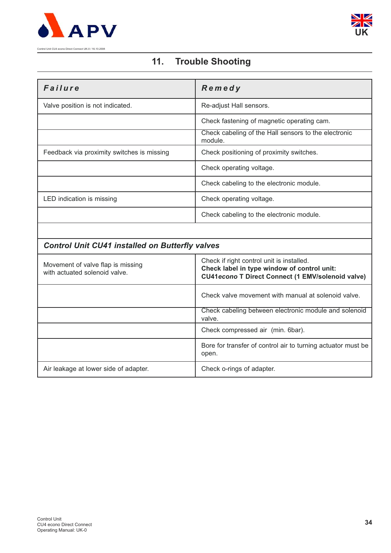



# **11. Trouble Shooting**

| Failure                                                            | Remedy                                                                                                                                               |
|--------------------------------------------------------------------|------------------------------------------------------------------------------------------------------------------------------------------------------|
| Valve position is not indicated.                                   | Re-adjust Hall sensors.                                                                                                                              |
|                                                                    | Check fastening of magnetic operating cam.                                                                                                           |
|                                                                    | Check cabeling of the Hall sensors to the electronic<br>module.                                                                                      |
| Feedback via proximity switches is missing                         | Check positioning of proximity switches.                                                                                                             |
|                                                                    | Check operating voltage.                                                                                                                             |
|                                                                    | Check cabeling to the electronic module.                                                                                                             |
| LED indication is missing                                          | Check operating voltage.                                                                                                                             |
|                                                                    | Check cabeling to the electronic module.                                                                                                             |
|                                                                    |                                                                                                                                                      |
| <b>Control Unit CU41 installed on Butterfly valves</b>             |                                                                                                                                                      |
| Movement of valve flap is missing<br>with actuated solenoid valve. | Check if right control unit is installed.<br>Check label in type window of control unit:<br><b>CU41econo T Direct Connect (1 EMV/solenoid valve)</b> |
|                                                                    | Check valve movement with manual at solenoid valve.                                                                                                  |
|                                                                    | Check cabeling between electronic module and solenoid<br>valve.                                                                                      |
|                                                                    | Check compressed air (min. 6bar).                                                                                                                    |
|                                                                    | Bore for transfer of control air to turning actuator must be<br>open.                                                                                |

Air leakage at lower side of adapter. Check o-rings of adapter.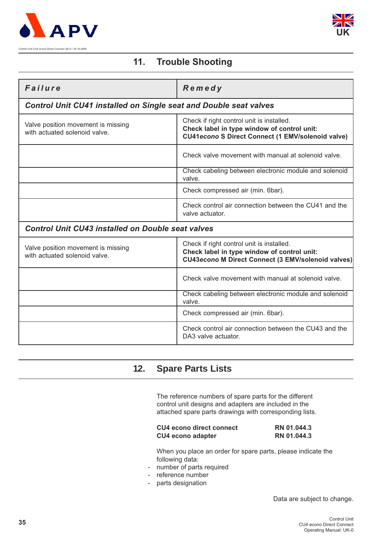



# **11. Trouble Shooting**

| Failure                                                                  | Remedy                                                                                                                                                |
|--------------------------------------------------------------------------|-------------------------------------------------------------------------------------------------------------------------------------------------------|
| <b>Control Unit CU41 installed on Single seat and Double seat valves</b> |                                                                                                                                                       |
| Valve position movement is missing<br>with actuated solenoid valve.      | Check if right control unit is installed.<br>Check label in type window of control unit:<br><b>CU41econo S Direct Connect (1 EMV/solenoid valve)</b>  |
|                                                                          | Check valve movement with manual at solenoid valve.                                                                                                   |
|                                                                          | Check cabeling between electronic module and solenoid<br>valve.                                                                                       |
|                                                                          | Check compressed air (min. 6bar).                                                                                                                     |
|                                                                          | Check control air connection between the CU41 and the<br>valve actuator.                                                                              |
| <b>Control Unit CU43 installed on Double seat valves</b>                 |                                                                                                                                                       |
| Valve position movement is missing<br>with actuated solenoid valve.      | Check if right control unit is installed.<br>Check label in type window of control unit:<br><b>CU43econo M Direct Connect (3 EMV/solenoid valves)</b> |
|                                                                          | Check valve movement with manual at solenoid valve.                                                                                                   |
|                                                                          | Check cabeling between electronic module and solenoid<br>valve.                                                                                       |
|                                                                          | Check compressed air (min. 6bar).                                                                                                                     |
|                                                                          | Check control air connection between the CU43 and the<br>DA3 valve actuator.                                                                          |

# **12. Spare Parts Lists**

The reference numbers of spare parts for the different control unit designs and adapters are included in the attached spare parts drawings with corresponding lists.

| CU4 econo direct connect | RN 01.044.3 |
|--------------------------|-------------|
| <b>CU4 econo adapter</b> | RN 01.044.3 |

When you place an order for spare parts, please indicate the following data:

- number of parts required
- reference number
- parts designation

Data are subject to change.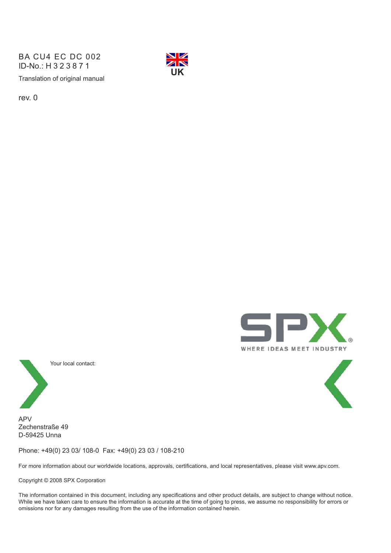Translation of original manual BA CU4 EC DC 002 ID-No.: H323871



rev. 0





Your local contact:

APV Zechenstraße 49 D-59425 Unna

Phone: +49(0) 23 03/ 108-0 Fax: +49(0) 23 03 / 108-210

For more information about our worldwide locations, approvals, certifications, and local representatives, please visit www.apv.com.

Copyright © 2008 SPX Corporation

The information contained in this document, including any specifications and other product details, are subject to change without notice. While we have taken care to ensure the information is accurate at the time of going to press, we assume no responsibility for errors or omissions nor for any damages resulting from the use of the information contained herein.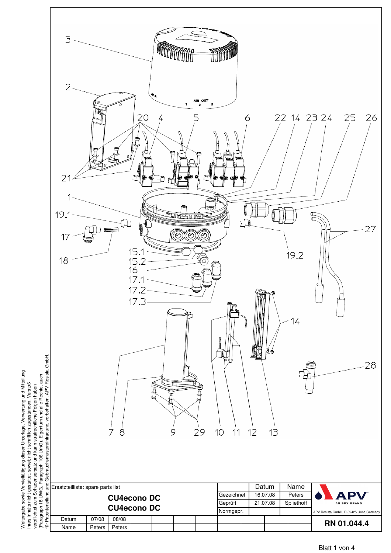

eitergabe sowie Vervielfältigung dieser Unterlage, Verwertung und Mitteilung ihres Inhalts nicht gestattet, soweit nicht schriftlich zugestanden. Verstoß verpflichtet zum Schadensersatz und kann strafrechtliche Folgen haben verpflichtet zum Schadensersatz und kann strafrechtliche Folgen haben W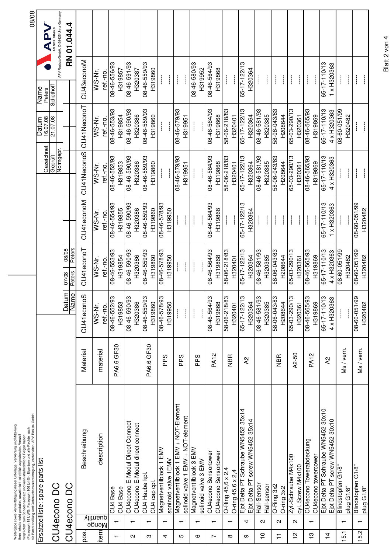|                          |                          | (Paragraph 18 UWG, Paragraph 106 UrhG). Eigentum und alle Rechte, auch<br>für Patenterteilung und Gebrauchsmustereintragung, vorbehalten. APV Rosista GmbH<br>Weitergabe sowie Vervielfältigung dieser Unterlage, Verwertung und Mitteilung<br>ihres Inhalts nicht gestattet, soweit nicht schriftlich zugestanden. Verstoß<br>verpflichtet zum Schadensersatz und kann strafrechtliche Folgen haben |             |                                                        |                                    |                                |                                |                                                                      |                                                                                                                                                                                                                                                                                                                                                                                                           | 08/08                                  |
|--------------------------|--------------------------|------------------------------------------------------------------------------------------------------------------------------------------------------------------------------------------------------------------------------------------------------------------------------------------------------------------------------------------------------------------------------------------------------|-------------|--------------------------------------------------------|------------------------------------|--------------------------------|--------------------------------|----------------------------------------------------------------------|-----------------------------------------------------------------------------------------------------------------------------------------------------------------------------------------------------------------------------------------------------------------------------------------------------------------------------------------------------------------------------------------------------------|----------------------------------------|
|                          |                          | Ersatzteilliste: spare parts list                                                                                                                                                                                                                                                                                                                                                                    |             |                                                        |                                    |                                | Gezeichnet<br>Geprüft          | 80.707.08<br>Datum                                                   | Peters<br>Spliethoff<br>Name                                                                                                                                                                                                                                                                                                                                                                              | APY                                    |
|                          |                          | CU4econo DC                                                                                                                                                                                                                                                                                                                                                                                          |             |                                                        |                                    |                                | Normgepr.                      |                                                                      |                                                                                                                                                                                                                                                                                                                                                                                                           | APV Rosista GmbH, D-59425 Unna Germany |
|                          |                          | CU4econo DC                                                                                                                                                                                                                                                                                                                                                                                          |             | Datum                                                  | 08/08<br>Peters<br>Peters<br>07/08 |                                |                                |                                                                      |                                                                                                                                                                                                                                                                                                                                                                                                           | RN 01.044.4                            |
| pos.                     |                          | Beschreibung                                                                                                                                                                                                                                                                                                                                                                                         | Material    | CU41econoS                                             | CU41econoT                         | CU41econoM                     | CU41NeconoS                    | CU41NeconoT                                                          | CU43econoM                                                                                                                                                                                                                                                                                                                                                                                                |                                        |
| item                     | Nenge<br>Menge           | description                                                                                                                                                                                                                                                                                                                                                                                          | material    | $\overline{WS}$ -Nr.<br>ref.-no.                       | ref.-no.<br>WS-Nr.                 | ref.-no.<br>WS-Nr.             | WS-Nr.<br>ref.-no.             | WS-Nr.<br>ref.-no.                                                   | WS-Nr.<br>ref.-no.                                                                                                                                                                                                                                                                                                                                                                                        |                                        |
| $\overline{\phantom{0}}$ |                          | CU4 Base<br>CU4 Base                                                                                                                                                                                                                                                                                                                                                                                 | PA6.6 GF30  | 08-46-552/93<br>H319853                                | 08-46-553/93<br>H319854            | 08-46-554/93<br>H319855        | 08-46-552/93<br>H319853        | 08-46-553/93<br>H319854                                              | 08-46-556/93<br>H319857                                                                                                                                                                                                                                                                                                                                                                                   |                                        |
| N                        | $\overline{ }$           | CU4econo E-Modul Direct Connect<br>CU4econo E-Modul direct connect                                                                                                                                                                                                                                                                                                                                   |             | 08-46-590/93<br>H320386                                | 08-46-590/93<br>H320386            | 08-46-590/93<br>H320386        | 08-46-590/93<br>H320386        | 66/065-94-80<br>H320386                                              | 08-46-591/93                                                                                                                                                                                                                                                                                                                                                                                              |                                        |
| ო                        | $\overline{\phantom{0}}$ | CU4 Haube kpl<br>CU4 cap cpl.                                                                                                                                                                                                                                                                                                                                                                        | PA6.6 GF30  | 08-46-559/93<br>H319860                                | 08-46-559/93<br>H319860            | 08-46-559/93<br>H319860        | 08-46-559/93<br>H319860        | 08-46-559/93<br>H319860                                              | H320387<br>08-46-559/93<br>H319860                                                                                                                                                                                                                                                                                                                                                                        |                                        |
| 4                        |                          | Magnetventilblock 1 EMV<br>soninoid valve 1 EMV                                                                                                                                                                                                                                                                                                                                                      | <b>Sdd</b>  | 08-46-578/93<br>H319950                                | 08-46-578/93<br>H319950            | 08-46-578/93<br>H319950        | $\frac{1}{1}$<br>j             | $\mathbf{I}$                                                         | $\mathbf{I}$<br>$\mathbf{I}$                                                                                                                                                                                                                                                                                                                                                                              |                                        |
| Ю                        | $\overline{\phantom{0}}$ | Magnetventilblock 1 EMV + NOT-Element<br>solinoid valve 1 EMV + NOT-element                                                                                                                                                                                                                                                                                                                          | <b>Sdd</b>  | L                                                      | $\mathbb{I}$<br>$\frac{1}{2}$      | $\mathbf{I}$<br>$\mathbf{I}$   | 08-46-579/93<br>H319951        | 08-46-579/93<br>H319951                                              | $\begin{array}{c} \begin{array}{c} \begin{array}{c} \begin{array}{c} \end{array} \\ \begin{array}{c} \end{array} \end{array} \end{array} \end{array}$                                                                                                                                                                                                                                                     |                                        |
| ဖ                        | $\overline{\phantom{0}}$ | Magnetventilblock 3 EMV<br>solinoid valve 3 EMV                                                                                                                                                                                                                                                                                                                                                      | PPS         | $\frac{1}{2}$                                          | $\overline{\phantom{a}}$           | $\overline{\phantom{a}}$       | $\mathcal{I}$                  | $\mathop{!}\rule{0pt}{.1ex}\hspace{-0.2ex}\mathop{!}\hspace{-0.2ex}$ | 08-46-580/93<br>H319952                                                                                                                                                                                                                                                                                                                                                                                   |                                        |
| $\overline{ }$           | $\overline{ }$           | CU4econo Sensortower<br>CU4econo Sensortower                                                                                                                                                                                                                                                                                                                                                         | <b>PA12</b> | 86/195-91-80<br>H319868                                | 66/199-91-80<br>H319868            | 86/199-94-80<br>H319868        | 66/199-94-80<br>H319868        | 66/199-94-80<br>H319868                                              | 08-46-564/93<br>H319868                                                                                                                                                                                                                                                                                                                                                                                   |                                        |
| $\infty$                 | $\overline{\phantom{0}}$ | O-Ring 45,6 x 2,4<br>$O$ -ring 45,6 x 2,4                                                                                                                                                                                                                                                                                                                                                            | <b>NBR</b>  | 58-06-218/83<br>H320401                                | 58-06-218/83<br>H320401            |                                | 58-06-218/83<br>H320401        | 58-06-218/83<br>H320401                                              | $\frac{1}{2}$                                                                                                                                                                                                                                                                                                                                                                                             |                                        |
| თ                        | 4                        | Ejot Delta PT Schraube WN5452 35x14<br>Ejot Delta PT screw WN5452 35x14                                                                                                                                                                                                                                                                                                                              | 5y          | $\frac{1}{2}$<br>H320364<br>$65 - 17 - 122$            | 65-17-122/13<br>H320364            | 65-17-122/13<br>H320364        | 65-17-122/13<br>H320364        | 65-17-122/13<br>H320364                                              | 65-17-122/13<br>H320364                                                                                                                                                                                                                                                                                                                                                                                   |                                        |
| $\frac{1}{1}$            | $\mathbf{\Omega}$        | Hall-Sensor<br>Hall-sensor                                                                                                                                                                                                                                                                                                                                                                           |             | 08-46-581/93<br>H320385                                | 66/185-94-80<br>H320385            | $\frac{1}{2}$<br>$\mathbf{I}$  | 08-46-581/93<br>H320385        | 66/185-94-80<br>H320385                                              | $\frac{1}{2}$<br>$\frac{1}{2}$                                                                                                                                                                                                                                                                                                                                                                            |                                        |
| $\overline{1}$           | $\sim$                   | O-Ring 3x2<br>O-ring 3x2                                                                                                                                                                                                                                                                                                                                                                             | <b>NBR</b>  | 58-06-043/83<br>H208644                                | 58-06-043/83<br>H208644            | $\frac{1}{1}$<br>$\frac{1}{2}$ | 58-06-043/83<br>H208644        | 58-06-043/83<br>H208644                                              | $\begin{array}{c} \rule{0pt}{2.5ex} \rule{0pt}{2.5ex} \rule{0pt}{2.5ex} \rule{0pt}{2.5ex} \rule{0pt}{2.5ex} \rule{0pt}{2.5ex} \rule{0pt}{2.5ex} \rule{0pt}{2.5ex} \rule{0pt}{2.5ex} \rule{0pt}{2.5ex} \rule{0pt}{2.5ex} \rule{0pt}{2.5ex} \rule{0pt}{2.5ex} \rule{0pt}{2.5ex} \rule{0pt}{2.5ex} \rule{0pt}{2.5ex} \rule{0pt}{2.5ex} \rule{0pt}{2.5ex} \rule{0pt}{2.5ex} \rule{0$<br>$\mathbf{\mathbf{I}}$ |                                        |
| $\frac{1}{2}$            | $\mathbf{a}$             | Zyl - Schraube M4x100<br>cyl. Screw M4x100                                                                                                                                                                                                                                                                                                                                                           | A2-50       | $\frac{1}{2}$<br>65-03-290/<br>H320361                 | 65-03-290/13<br>H320361            | $\frac{1}{2}$<br>$\frac{1}{2}$ | 65-03-290/13<br>H320361        | 65-03-290/13<br>H320361                                              | $\frac{1}{2}$<br>ł                                                                                                                                                                                                                                                                                                                                                                                        |                                        |
| $\frac{1}{2}$            | $\overline{ }$           | CU4econo Towerabdeckung<br>CU4econo towercower                                                                                                                                                                                                                                                                                                                                                       | <b>PA12</b> | 08-46-565/93<br>H319869                                | 08-46-565/93<br>H319869            | $\overline{\phantom{a}}$       | 08-46-565/93<br>H319869        | 08-46-565/93<br>H319869                                              | $\overline{\phantom{a}}$                                                                                                                                                                                                                                                                                                                                                                                  |                                        |
| $\frac{4}{3}$            |                          | Ejot Delta PT Schraube WN5452 30x10<br>Ejot Delta PT screw WN5452 30x10                                                                                                                                                                                                                                                                                                                              | 5y          | $\frac{1}{2}$<br>$4 \times$ H320363<br>$65 - 17 - 110$ | 65-17-110/13<br>4 x H320363        | 65-17-110/13<br>1 x H320363    | 65-17-110/13<br>4 x H320363    | 65-17-110/13<br>4 x H320363                                          | 65-17-110/13<br>1 x H320363                                                                                                                                                                                                                                                                                                                                                                               |                                        |
| 15.1                     | $\overline{\phantom{0}}$ | Blindstopfen G1/8"<br>plug G1/8"                                                                                                                                                                                                                                                                                                                                                                     | Ms / vern.  | $\mathcal{I}$                                          | 08-60-051/99<br>H320482            | $\frac{1}{2}$                  | $\mathcal{I}$<br>$\frac{1}{2}$ | 08-60-051/99<br>H320482                                              | $\mathbf{I}$<br>İ                                                                                                                                                                                                                                                                                                                                                                                         |                                        |
| 15.2                     | $\overline{\phantom{0}}$ | Blindstopfen G1/8"<br>plug G1/8"                                                                                                                                                                                                                                                                                                                                                                     | Ms / vern.  | $08 - 60 - 051/99$<br>H320482                          | 08-60-051/99<br>H320482            | 08-60-051/99<br>H320482        | $\frac{1}{2}$<br>Ł             | $\frac{1}{2}$<br>L                                                   | $\frac{1}{2}$<br>L                                                                                                                                                                                                                                                                                                                                                                                        |                                        |

Blatt 2 von 4 Blatt 2 von 4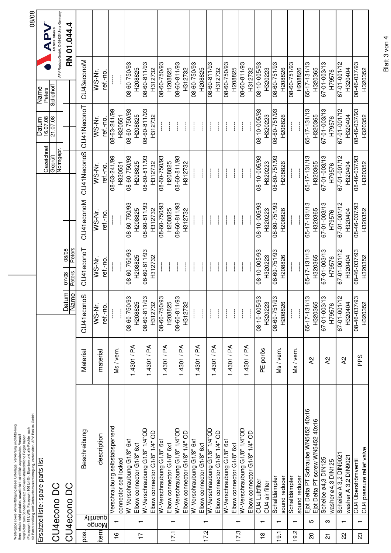|                         |                          | (Paragraph 18 UWG, Paragraph 106 UrhG). Eigentum und alle Rechte, auch<br>für Patenterteilung und Gebrauchsmustereintragung, vorbehalten. APV Rosista GmbH<br>Weitergabe sowie Vervielfältigung dieser Unterlage, Verwertung und Mitteilung<br>ihres Inhalts nicht gestattet, soweit nicht schriftlich zugestanden. Verstoß<br>verpflichtet zum Schadensersatz und kann strafrechtliche Folgen haben |             |                                  |                                           |                                           |                                           |                                |                               | 08/08                                  |
|-------------------------|--------------------------|------------------------------------------------------------------------------------------------------------------------------------------------------------------------------------------------------------------------------------------------------------------------------------------------------------------------------------------------------------------------------------------------------|-------------|----------------------------------|-------------------------------------------|-------------------------------------------|-------------------------------------------|--------------------------------|-------------------------------|----------------------------------------|
|                         |                          | Ersatzteilliste: spare parts list                                                                                                                                                                                                                                                                                                                                                                    |             |                                  |                                           |                                           |                                           | <b>Datum</b>                   | Name                          | APV                                    |
|                         |                          | CU4econo DC                                                                                                                                                                                                                                                                                                                                                                                          |             |                                  |                                           |                                           | Gezeichnet<br>Geprüft<br>Normgepr.        | 16.07.08<br>21.07.08           | Peters<br>Spliethoff          | APV Rosista GmbH, D-59425 Unna Germany |
|                         |                          | CU4econo DC                                                                                                                                                                                                                                                                                                                                                                                          |             | Datum<br>Name<br>me              | 08/08<br>Peters<br>$\frac{07/08}{Peters}$ |                                           |                                           |                                |                               | RN 01.044.4                            |
| pos.                    |                          | Beschreibung                                                                                                                                                                                                                                                                                                                                                                                         | Material    | CU41econoS                       | CU41econoT                                | CU41econoM                                | CU41NeconoS                               | CU41NeconoT                    | CU43econoM                    |                                        |
| item                    | quantity<br>Menge        | description                                                                                                                                                                                                                                                                                                                                                                                          | material    | WS-Nr.<br>ref.-no.               | WS-Nr.<br>ref.-no.                        | WS-Nr.<br>ref.-no.                        | WS-Nr.<br>ref.-no.                        | WS-Nr.<br>ref.-no.             | WS-Nr.<br>ref.-no.            |                                        |
| $\frac{6}{1}$           |                          | Verschraubung selbstabsperrend<br>connector self locked                                                                                                                                                                                                                                                                                                                                              | Ms/vern.    | $\frac{1}{2}$<br>ļ               | $\frac{1}{2}$<br>$\frac{1}{1}$            | $\frac{1}{2}$<br>ļ                        | 08-63-241/99<br>H320551                   | 08-63-241/99<br>H320551        | $\frac{1}{2}$<br>$\mathbf{I}$ |                                        |
|                         |                          | W-Verschraubung G1/8" 6x1<br>Elbow connector G1/8" 6x1                                                                                                                                                                                                                                                                                                                                               | 1.4301/PA   | 93<br>H208825<br>08-60-750/      | 66/05/19-80<br>H208825                    | 66/052-09-80<br>H208825                   | 66/05/-09-80<br>H208825                   | 08-60-750/93<br>H208825        | 66/05/-09-80<br>H208825       |                                        |
| $\overline{1}$          | $\overline{\phantom{0}}$ | W-Verschraubung G1/8" 1/4"OD<br>Elbow connector G1/8" 1/4" OD                                                                                                                                                                                                                                                                                                                                        | 1.4301 / PA | 08-60-811/93<br>H312732          | 08-60-811/93<br>H312732                   | 08-60-811/93<br>H312732                   | 08-60-811/93<br>H312732                   | 08-60-811/93<br>H312732        | 08-60-811/93<br>H312732       |                                        |
|                         |                          | W-Verschraudung G1/8" 6x1<br>Elbow connector G1/8" 6x1                                                                                                                                                                                                                                                                                                                                               | 1.4301 / PA | 86/05/-09-80<br>H208825          | $\mathcal{I}$<br>ł                        | 66/052-09-80<br>H208825                   | 08-00-750/93<br>H208825                   | $\mathcal{I}$<br>$\mathbf{I}$  | 66/05/-09-80<br>H208825       |                                        |
| 17.1                    | $\overline{\phantom{0}}$ | W-Verschraubung G1/8" 1/4"OD<br>Elbow connector G1/8" 1/4" OD                                                                                                                                                                                                                                                                                                                                        | 1.4301/PA   | 08-60-811/93<br>H312732          | $\frac{1}{2}$<br>L                        | 08-60-811/93<br>H312732                   | 08-60-811/93<br>H312732                   | $\frac{1}{2}$<br>L             | 08-60-811/93<br>H312732       |                                        |
|                         |                          | W-Verschraubung G1/8" 6x1<br>Elbow connector G1/8" 6x1                                                                                                                                                                                                                                                                                                                                               | 1.4301/PA   | $\frac{1}{2}$<br>İ               | $\frac{1}{2}$<br>$\frac{1}{2}$            | $\mathcal{I}$<br>$\overline{\phantom{a}}$ | $\mathcal{I}$<br>$\overline{\phantom{a}}$ | $\frac{1}{2}$<br>$\frac{1}{2}$ | 08-60-750/93<br>H208825       |                                        |
| 17.2                    | $\overline{\phantom{0}}$ | W-Verschraubung G1/8" 1/4"OD<br>Elbow connector G1/8" 1/4" OD                                                                                                                                                                                                                                                                                                                                        | 1.4301/PA   | $\frac{1}{2}$<br>$\frac{1}{2}$   | $\mathbf{r}$<br>$\frac{1}{2}$             | $\mathcal{I}$<br>$\frac{1}{2}$            | $\mathcal{I}$<br>ł                        | $\frac{1}{2}$                  | 08-60-811/93<br>H312732       |                                        |
| 17.3                    | $\overline{\phantom{0}}$ | W-Verschraubung G1/8" 6x1<br>Elbow connector G1/8" 6x1                                                                                                                                                                                                                                                                                                                                               | 1.4301/PA   | $\frac{1}{2}$                    | $\overline{\phantom{a}}$<br>$\frac{1}{2}$ | $\overline{\phantom{a}}$<br>$\frac{1}{2}$ | $\frac{1}{2}$<br>$\frac{1}{2}$            | $\frac{1}{2}$<br>ł             | 08-60-750/93<br>H208825       |                                        |
|                         |                          | W-Verschraubung G1/8" 1/4"OD<br>Elbow connector G1/8"1/4" OD                                                                                                                                                                                                                                                                                                                                         | 1.4301/PA   | $\frac{1}{2}$                    | $\frac{1}{2}$                             | $\frac{1}{2}$                             | $\frac{1}{2}$                             | $\overline{\phantom{a}}$       | 08-60-811/93<br>H312732       |                                        |
| $\frac{8}{1}$           | $\overline{\phantom{0}}$ | CU4 Luftfilter<br>CU4 air filter                                                                                                                                                                                                                                                                                                                                                                     | PE-porös    | 93<br>H320223<br>$08 - 10 - 005$ | 08-10-005/93<br>H320223                   | 66/500-01-80<br>H320223                   | 86/500-01-80<br>H320223                   | 08-10-005/93<br>H320223        | 66/500-01-80<br>H320223       |                                        |
| 19.1                    | $\overline{\phantom{0}}$ | Schalldämpfer<br>sound reducer                                                                                                                                                                                                                                                                                                                                                                       | Ms / vern.  | 08-60-751/93<br>H208826          | 08-60-751/93<br>H208826                   | 08-60-751/93<br>H208826                   | 08-60-751/93<br>H208826                   | 08-60-751/93<br>H208826        | 86/15/-09-80<br>H208826       |                                        |
| Ņ<br><u>ე</u>           | $\overline{\phantom{0}}$ | Schalldämpfer<br>sound reducer                                                                                                                                                                                                                                                                                                                                                                       | Ms / vern.  | $\frac{1}{2}$<br>$\frac{1}{2}$   | $\mathord{\dagger}$                       | $\frac{1}{2}$                             | $\frac{1}{2}$                             | $\frac{1}{2}$                  | 08-60-751/93<br>H208826       |                                        |
| $\Omega$                | ю                        | Ejot Delta PT Schraube WN5452 40x16<br>Ejot Delta PT screw WN5452 40x16                                                                                                                                                                                                                                                                                                                              | $\lambda$   | $65 - 17 - 131/13$<br>H320365    | 65-17-131/13<br>H320365                   | 65-17-131/13<br>H320365                   | 65-17-131/13<br>H320365                   | 65-17-131/13<br>H320365        | 65-17-131/13<br>H320365       |                                        |
| $\overline{\mathsf{c}}$ | ო                        | Scheibe ø4,3 DIN125<br>washer ø4,3 DIN125                                                                                                                                                                                                                                                                                                                                                            | <b>A2</b>   | ςF,<br>H79576<br>67-01-003       | 67-01-003/13<br>H79576                    | 67-01-003/13<br>H79576                    | 67-01-003/13<br>H79576                    | 67-01-003/13<br>H79576         | 67-01-003/13<br>H79576        |                                        |
| 22                      | $\overline{\phantom{0}}$ | Scheibe A 3,2 DIN9021<br>washer A 3,2 DIN9021                                                                                                                                                                                                                                                                                                                                                        | <b>A2</b>   | 67-01-001/12<br>H320404          | 67-01-001/12<br>H320404                   | 67-01-001/12<br>H320404                   | 67-01-001/12<br>H320404                   | 67-01-001/12<br>H320404        | 67-01-001/12<br>H320404       |                                        |
| 23                      | $\overline{\phantom{0}}$ | CU4 pressure relief valve<br>CU4 Überströmventil                                                                                                                                                                                                                                                                                                                                                     | PPS         | 08-46-037/93<br>H320352          | 08-46-037/93<br>H320352                   | 08-46-037/93<br>H320352                   | 08-46-037/93<br>H320352                   | 08-46-037/93<br>H320352        | 08-46-037/93<br>H320352       |                                        |

Blatt 3 v on 4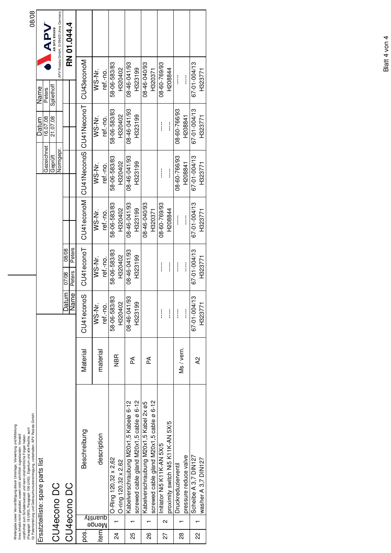|                               |                   | ür Patenterteilung und Gebrauchsmustereintragung, vorbehalten. APV Rosista GmbH<br>Weitergabe sowie Vervielfältigung dieser Unterlage, Verwertung und Mitteilung<br>(Paragraph 18 UWG, Paragraph 106 UrhG). Eigentum und alle Rechte, auch<br>Ihres Inhalts nicht gestattet, soweit nicht schriftlich zugestanden. Verstoß<br>verpflichtet zum Schadensersatz und kann strafrechtliche Folgen haben |            |               |                                           |              |                         |              |               | 08/08                                  |
|-------------------------------|-------------------|-----------------------------------------------------------------------------------------------------------------------------------------------------------------------------------------------------------------------------------------------------------------------------------------------------------------------------------------------------------------------------------------------------|------------|---------------|-------------------------------------------|--------------|-------------------------|--------------|---------------|----------------------------------------|
|                               |                   | Ersatzteilliste: spare parts list                                                                                                                                                                                                                                                                                                                                                                   |            |               |                                           |              |                         | Datum        | Name          |                                        |
|                               |                   |                                                                                                                                                                                                                                                                                                                                                                                                     |            |               |                                           |              | Gezeichnet              | 16.07.08     | Peters        | <b>NAA</b>                             |
|                               |                   | CU4econo DC                                                                                                                                                                                                                                                                                                                                                                                         |            |               |                                           |              | Geprüft                 | 21.07.08     | Spliethof     | <b>AN SPX BRAND</b>                    |
|                               |                   |                                                                                                                                                                                                                                                                                                                                                                                                     |            |               |                                           |              | Normgepr.               |              |               | APV Rosista GmbH, D-59425 Unna Germany |
|                               |                   | CU4econo DC                                                                                                                                                                                                                                                                                                                                                                                         |            | Datum<br>Name | Peters<br>08/08<br><b>Peters</b><br>07/08 |              |                         |              |               | RN 01.044.4                            |
| pos.                          |                   | Beschreibung                                                                                                                                                                                                                                                                                                                                                                                        | Material   | CU41econoS    | CU41econoT                                | CU41econoM   | CU41NeconoS CU41NeconoT |              | CU43econoM    |                                        |
| anantily<br>Menge<br>Viifnaup |                   |                                                                                                                                                                                                                                                                                                                                                                                                     |            | WS-Nr.        | WS-Nr.                                    | WS-Nr.       | WS-Nr.                  | WS-Nr.       | WS-Nr.        |                                        |
|                               |                   | description                                                                                                                                                                                                                                                                                                                                                                                         | material   | ref.-no.      | ref.-no.                                  | ref.-no.     | ref.-no.                | ref.-no.     | ref.-no.      |                                        |
| $\overline{2}$                |                   | O-Ring 120,32 x 2,62                                                                                                                                                                                                                                                                                                                                                                                | NBR<br>2   | 58-06-583/83  | 58-06-583/83                              | 58-06-583/83 | 58-06-583/83            | 58-06-583/83 | 58-06-583/83  |                                        |
|                               |                   | O-ring 120,32 x 2,62                                                                                                                                                                                                                                                                                                                                                                                |            | H320402       | H320402                                   | H320402      | H320402                 | H320402      | H320402       |                                        |
| 25                            |                   | Kabelverschraubung M20x1,5 Kabelø 6-12                                                                                                                                                                                                                                                                                                                                                              | Ã          | 08-46-041/93  | 08-46-041/93                              | 08-46-041/93 | 08-46-041/93            | 08-46-041/93 | 08-46-041/93  |                                        |
|                               |                   | screwed cable gland M20x1,5 cable ø 6-12                                                                                                                                                                                                                                                                                                                                                            |            | H32319        | H323199                                   | H323199      | H323199                 | H323199      | H323199       |                                        |
| 88                            |                   | Kabelverschraubung M20x1,5 Kabel 2x ø5                                                                                                                                                                                                                                                                                                                                                              | Æ          |               |                                           | 08-46-040/93 |                         |              | 08-46-040/93  |                                        |
|                               |                   | screwed cable gland M20x1,5 cable ø 6-12                                                                                                                                                                                                                                                                                                                                                            |            |               |                                           | H320371      |                         |              | H320371       |                                        |
| 22                            | $\mathbf{\Omega}$ | Initiator Ni5 K11K-AN 5X/5                                                                                                                                                                                                                                                                                                                                                                          |            | $\frac{1}{1}$ | $\vdots$                                  | 08-60-769/93 | ļ                       | $\vdots$     | 08-60-769/93  |                                        |
|                               |                   | proximity switch Ni5 K11 K-AN 5X/5                                                                                                                                                                                                                                                                                                                                                                  |            | ļ             | $\frac{1}{1}$                             | H208844      |                         | ļ            | H208844       |                                        |
| 28                            |                   | Druckreduzierventil                                                                                                                                                                                                                                                                                                                                                                                 | Ms / vern. | $\frac{1}{1}$ | ļ                                         | ļ            | 08-60-766/93            | 08-60-766/93 | $\mathcal{I}$ |                                        |
|                               |                   | pressure reduce valve                                                                                                                                                                                                                                                                                                                                                                               |            |               |                                           |              | H208841                 | H208841      |               |                                        |
| 22                            |                   | Scheibe A 3,7 DIN127                                                                                                                                                                                                                                                                                                                                                                                | Q2         | 67-01-004/13  | 67-01-004/13                              | 67-01-004/13 | 67-01-004/13            | 67-01-004/13 | 67-01-004/13  |                                        |
|                               |                   | washer A 3,7 DIN127                                                                                                                                                                                                                                                                                                                                                                                 |            | H32377        | H323771                                   | H323771      | H323771                 | H323771      | H323771       |                                        |
|                               |                   |                                                                                                                                                                                                                                                                                                                                                                                                     |            |               |                                           |              |                         |              |               |                                        |

Blatt 4 von 4 Blatt 4 von 4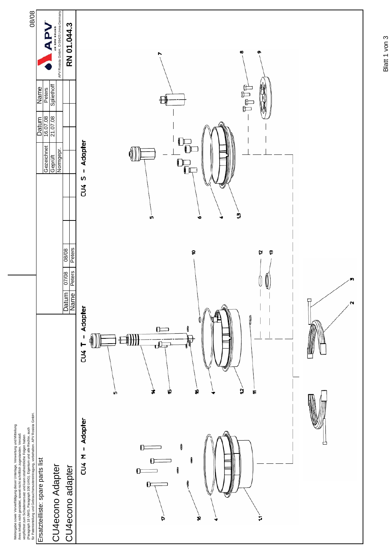

Blatt 1 von 3 Blatt 1 von 3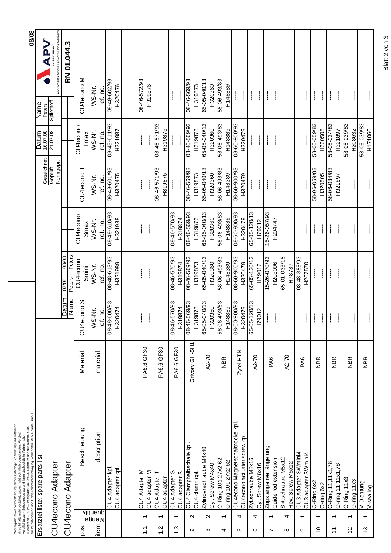|                       |                          | (Paragnaph 18 UWG, Paragraph 106 UrhG). Eigentum und alle Rechte, auch<br>für Patenterteilung und Gebrauchsmustereintragung, vorbehalten. APV Rosista GmbH.<br>Weitergabe sowie Vervielfältigung dieser Unterlage, Verwertung und Mitteilung<br>ihres Inhalts nicht gestattet, soweit nicht schriftlich zugestanden. Verstoß<br>verpflichtet zum Schadensersatz und kann strafrechtliche Folgen haben |                |                                                                |                                    |                                         |                            |                            |                                                | 08/08                                                         |
|-----------------------|--------------------------|-------------------------------------------------------------------------------------------------------------------------------------------------------------------------------------------------------------------------------------------------------------------------------------------------------------------------------------------------------------------------------------------------------|----------------|----------------------------------------------------------------|------------------------------------|-----------------------------------------|----------------------------|----------------------------|------------------------------------------------|---------------------------------------------------------------|
|                       |                          | Ersatzteilliste: spare parts list                                                                                                                                                                                                                                                                                                                                                                     |                |                                                                |                                    |                                         | Gezeichnet                 | Datum<br>16.07.08          | Name<br>Peters                                 | <b>AP</b>                                                     |
|                       |                          | CU4econo Adapter                                                                                                                                                                                                                                                                                                                                                                                      |                |                                                                |                                    |                                         | Geprüft<br>Normgepr.       | 21.07.08                   | Spliethoff                                     | APV Rosista GmbH, D-59425 Unna Germany<br><b>AN SPX BRAND</b> |
|                       |                          | CU4econo Adapter                                                                                                                                                                                                                                                                                                                                                                                      |                | <b>Datum</b><br>Name                                           | Peters<br>08/08<br>Peters<br>07/08 |                                         |                            |                            |                                                | RN 01.044.3                                                   |
| pos.                  |                          | Beschreibung                                                                                                                                                                                                                                                                                                                                                                                          | Material       | CU4econo <sub>S</sub>                                          | CU <sub>4econo</sub><br>Smini      | CU <sub>4econo</sub><br>Smax            | CU4econo T                 | CU4econo<br>Tmax           | CU4econo M                                     |                                                               |
| item                  | quantity<br>Menge        | description                                                                                                                                                                                                                                                                                                                                                                                           | material       | WS-Nr.<br>ref.-no.                                             | WS-Nr.<br>ref.-no.                 | WS-Nr.<br>ref.-no.                      | WS-Nr.<br>ref.-no.         | WS-Nr.<br>ref.-no.         | WS-Nr.<br>ref.-no.                             |                                                               |
|                       |                          | CU4 Adapter kpl<br>CU4 adapter cpl                                                                                                                                                                                                                                                                                                                                                                    |                | 08-48-600/93<br>H320474                                        | 08-48-613/93<br>H321989            | 66/019-84-80<br>H321988                 | 66/109-86-80<br>H320475    | 08-48-611/93<br>H321987    | 08-48-602/93<br>H320476                        |                                                               |
|                       |                          |                                                                                                                                                                                                                                                                                                                                                                                                       |                |                                                                |                                    |                                         |                            |                            |                                                |                                                               |
| $\overline{L}$        | $\overline{\phantom{0}}$ | CU4 Adapter M<br>CU4 adapter M                                                                                                                                                                                                                                                                                                                                                                        | PA6.6 GF30     | $\mathbf{I}% _{0}\left( \mathbf{I}_{1}\right)$<br>$\mathbf{I}$ | $\mathbf{I}$<br>$\mathbf{I}$       | $\frac{1}{2}$<br>Ł                      | $\mathbf{\mathbf{I}}$      | $\mathbf{I}$               | 08-46-572/93<br>H319876                        |                                                               |
| $\frac{2}{1}$         | $\overline{\phantom{0}}$ | CU4 Adapter T<br>CU4 adapter T                                                                                                                                                                                                                                                                                                                                                                        | PA6.6 GF30     | $\overline{\phantom{a}}$                                       | $\mathbf{\mathbf{I}}$<br>ł         | $\mathbf{I}$                            | 08-46-571/93<br>H319875    | 66/129-95-80<br>H319875    | $\mathbf{\mathbf{I}}$<br>$\mathbf{\mathbf{I}}$ |                                                               |
| $1.\overline{3}$      | $\overline{ }$           | CU4 Adapter S<br>CU4 adapter S                                                                                                                                                                                                                                                                                                                                                                        | PA6.6 GF30     | 66/029-94-80<br>H319874                                        | 66/029-94-80<br>H319874            | 66/029-94-80<br>H319874                 | ł<br>$\mathbf{\mathbf{I}}$ | $\frac{1}{2}$<br>ł         | $\mathbf{I}$<br>$\mathbf{\mathbf{I}}$          |                                                               |
| $\sim$                | $\sim$                   | CU4 Clamphalbschale kpl<br>CU4 clamp cpl                                                                                                                                                                                                                                                                                                                                                              | Grivory GH-5H1 | H319873<br>65-05-040/13<br>08-46-569/93                        | 08-46-569/93<br>H319873            | 08-46-569/93<br>H319873<br>65-05-040/13 | 08-46-569/93<br>H319873    | 08-46-569/93<br>H319873    | 08-46-569/93<br>H319873                        |                                                               |
| S                     | $\sim$                   | Zylinderschraube M4x40<br>Cyl. Screw M4x40                                                                                                                                                                                                                                                                                                                                                            | A2-70          | H320360                                                        | 65-05-040/13<br>H320360            | H320360                                 | 65-05-040/13<br>H320360    | 65-05-040/13<br>H320360    | 65-05-040/13<br>H320360                        |                                                               |
| 4                     | $\overline{\phantom{0}}$ | O-Ring 101,27x2,62<br>O-ring 101,27x2,62                                                                                                                                                                                                                                                                                                                                                              | <b>NBR</b>     | 58-06-493/83<br>H148389                                        | 58-06-493/83<br>H148389            | 58\64-90-85<br>H148389                  | 58-06-493/83<br>H148389    | 58-06-493/83<br>H148389    | 58-06-493/83<br>H148389                        |                                                               |
| 5                     | 4                        | CU4econo Magnetschaltnocke kpl<br>CU4econo actuater screw cpl                                                                                                                                                                                                                                                                                                                                         | Zytel HTN      | 08-60-900/93<br>H320479                                        | 08-60-900/93<br>H320479            | 08-60-900/93<br>H320479                 | 08-60-900/93<br>H320479    | 08-60-900/93<br>H320479    | $\mathbf{I}$<br>$\mathbf{\mathbf{I}}$          |                                                               |
| ဖ                     | 4                        | Zyl.schraube M8x16<br>Cyl. Screw M8x16                                                                                                                                                                                                                                                                                                                                                                | A2-70          | 65-05-120/13<br>H79012                                         | 65-05-120/13<br>H79012             | 65-05-120/13<br>H79012                  | $\mathbf{I}$<br>L          | $\mathbf{\mathbf{I}}$<br>L | ł<br>$\mathbf{\mathbf{I}}$                     |                                                               |
| Z                     | $\overline{\phantom{0}}$ | Zugstangenverlängerung<br>Guide rod extension                                                                                                                                                                                                                                                                                                                                                         | PA6            | $\mathcal{I}$<br>$\mathbf{I}$                                  | 15-26-070/93<br>H208096            | 15-26-057/93<br>H204747                 | ł<br>L                     | $\mathbf{\mathbf{I}}$<br>L | ł<br>L                                         |                                                               |
| $\infty$              | 4                        | Skt.schraube M5x12<br>Hex. Screw M5x12                                                                                                                                                                                                                                                                                                                                                                | A2-70          | $\mathbf{I}$<br>Ť.                                             | 65-01-033/15<br>H78737             | $\mathbf{I}$<br>$\mathbf{I}$            | ł<br>I                     | ł<br>$\mathbf{I}$          | ł<br>ŧ                                         |                                                               |
| တ                     | $\overline{\phantom{0}}$ | CU3 Adapter SWmini4<br>CU3 adapter SWmini4                                                                                                                                                                                                                                                                                                                                                            | PA6            | Ť<br>$\mathbf{I}$                                              | 08-48-355/93<br>H207570            | $\mathbf{I}$<br>$\mathbf{\mathbf{I}}$   | $\mathcal{I}$              | $\mathbf{\mathbf{I}}$<br>ł | ł<br>I                                         |                                                               |
| $\frac{0}{1}$         | $\overline{\phantom{0}}$ | O-Ring 6x2<br>O-ring 6x2                                                                                                                                                                                                                                                                                                                                                                              | <b>NBR</b>     | ł<br>L                                                         | $\mathbb{I}$<br>ł                  | ł<br>L                                  | 58-06-059/83<br>H320505    | 58-06-059/83<br>H320505    | L<br>ł                                         |                                                               |
| $\tilde{\mathcal{L}}$ | $\overline{ }$           | O-Ring 11, 11x1, 78<br>O-ring 11, 11x1, 78                                                                                                                                                                                                                                                                                                                                                            | <b>NBR</b>     | $\mathbf{I}$<br>Ť                                              | $\frac{1}{2}$<br>Ł                 | Ť<br>L                                  | 58-06-034/83<br>H321897    | 58-06-034/83<br>H321897    | ł<br>L                                         |                                                               |
| $\frac{1}{2}$         | $\overline{ }$           | O-Ring 11x3<br>O-ring 11x3                                                                                                                                                                                                                                                                                                                                                                            | NBR            | ł<br>L                                                         | ł<br>Ť                             | Ť<br>L                                  | $\mathbf{I}$<br>ł.         | 58-06-039/83<br>H208632    | ł<br>L                                         |                                                               |
| 13                    | $\overline{\phantom{0}}$ | V-Dichtung<br>V-sealing                                                                                                                                                                                                                                                                                                                                                                               | <b>NBR</b>     | ł<br>I                                                         | ł<br>Ť                             | $\mathbf{I}$<br>Ť                       | $\mathbf{I}$<br>Ť          | £8/650-90-85<br>H171060    | ł<br>Ť                                         |                                                               |

Blatt 2 von 3 Blatt 2 von 3